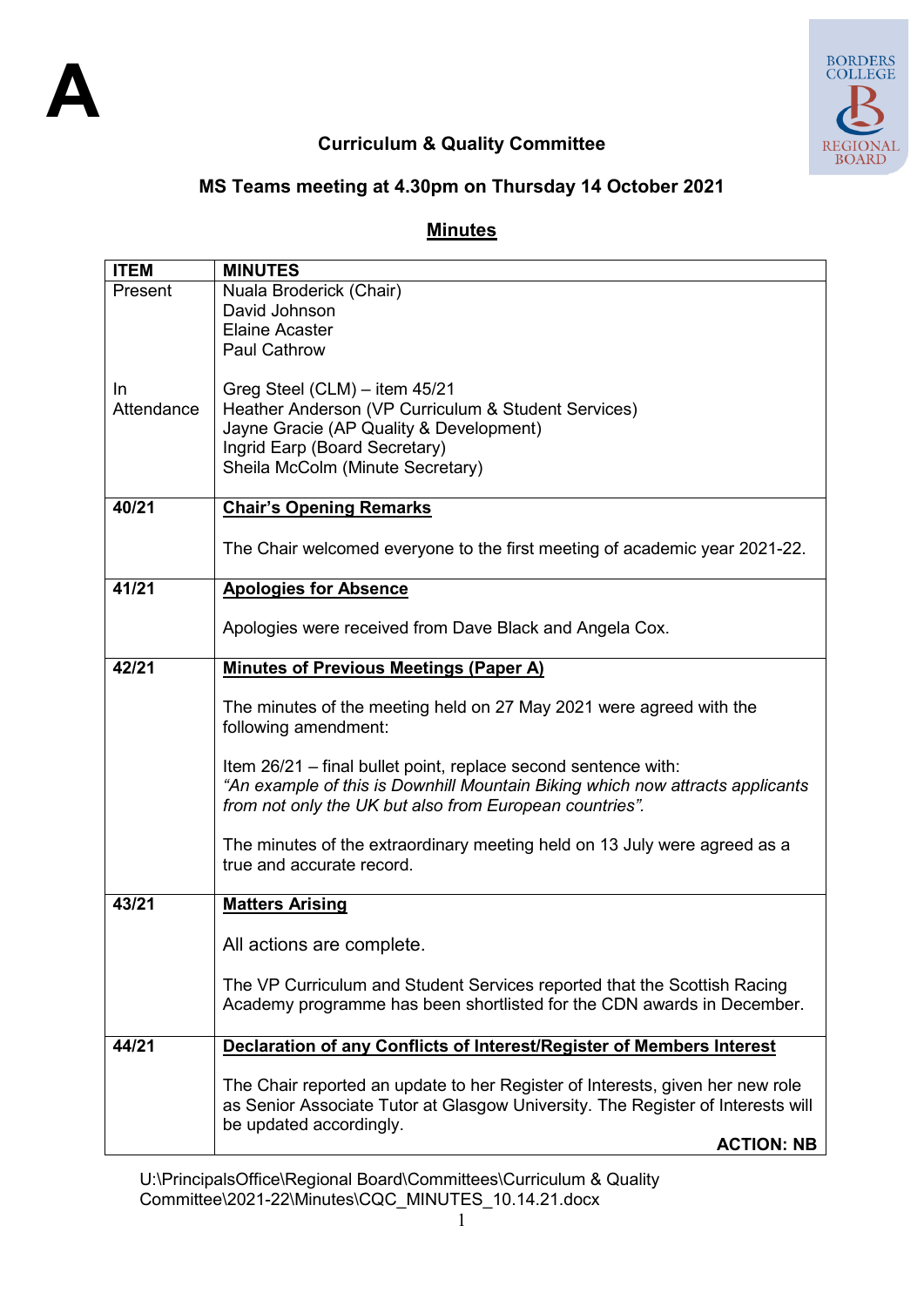

## **Curriculum & Quality Committee**

# **MS Teams meeting at 4.30pm on Thursday 14 October 2021**

### **Minutes**

| <b>ITEM</b> | <b>MINUTES</b>                                                                                         |  |  |  |
|-------------|--------------------------------------------------------------------------------------------------------|--|--|--|
| Present     | Nuala Broderick (Chair)                                                                                |  |  |  |
|             | David Johnson                                                                                          |  |  |  |
|             | <b>Elaine Acaster</b>                                                                                  |  |  |  |
|             | <b>Paul Cathrow</b>                                                                                    |  |  |  |
|             |                                                                                                        |  |  |  |
| In.         | Greg Steel (CLM) - item 45/21                                                                          |  |  |  |
| Attendance  | Heather Anderson (VP Curriculum & Student Services)                                                    |  |  |  |
|             | Jayne Gracie (AP Quality & Development)<br>Ingrid Earp (Board Secretary)                               |  |  |  |
|             | Sheila McColm (Minute Secretary)                                                                       |  |  |  |
|             |                                                                                                        |  |  |  |
| 40/21       | <b>Chair's Opening Remarks</b>                                                                         |  |  |  |
|             |                                                                                                        |  |  |  |
|             | The Chair welcomed everyone to the first meeting of academic year 2021-22.                             |  |  |  |
| 41/21       | <b>Apologies for Absence</b>                                                                           |  |  |  |
|             |                                                                                                        |  |  |  |
|             | Apologies were received from Dave Black and Angela Cox.                                                |  |  |  |
|             |                                                                                                        |  |  |  |
| 42/21       | <b>Minutes of Previous Meetings (Paper A)</b>                                                          |  |  |  |
|             | The minutes of the meeting held on 27 May 2021 were agreed with the                                    |  |  |  |
|             | following amendment:                                                                                   |  |  |  |
|             |                                                                                                        |  |  |  |
|             | Item 26/21 - final bullet point, replace second sentence with:                                         |  |  |  |
|             | "An example of this is Downhill Mountain Biking which now attracts applicants                          |  |  |  |
|             | from not only the UK but also from European countries".                                                |  |  |  |
|             |                                                                                                        |  |  |  |
|             | The minutes of the extraordinary meeting held on 13 July were agreed as a<br>true and accurate record. |  |  |  |
|             |                                                                                                        |  |  |  |
| 43/21       | <b>Matters Arising</b>                                                                                 |  |  |  |
|             |                                                                                                        |  |  |  |
|             | All actions are complete.                                                                              |  |  |  |
|             |                                                                                                        |  |  |  |
|             | The VP Curriculum and Student Services reported that the Scottish Racing                               |  |  |  |
|             | Academy programme has been shortlisted for the CDN awards in December.                                 |  |  |  |
| 44/21       | Declaration of any Conflicts of Interest/Register of Members Interest                                  |  |  |  |
|             |                                                                                                        |  |  |  |
|             | The Chair reported an update to her Register of Interests, given her new role                          |  |  |  |
|             | as Senior Associate Tutor at Glasgow University. The Register of Interests will                        |  |  |  |
|             | be updated accordingly.                                                                                |  |  |  |
|             | <b>ACTION: NB</b>                                                                                      |  |  |  |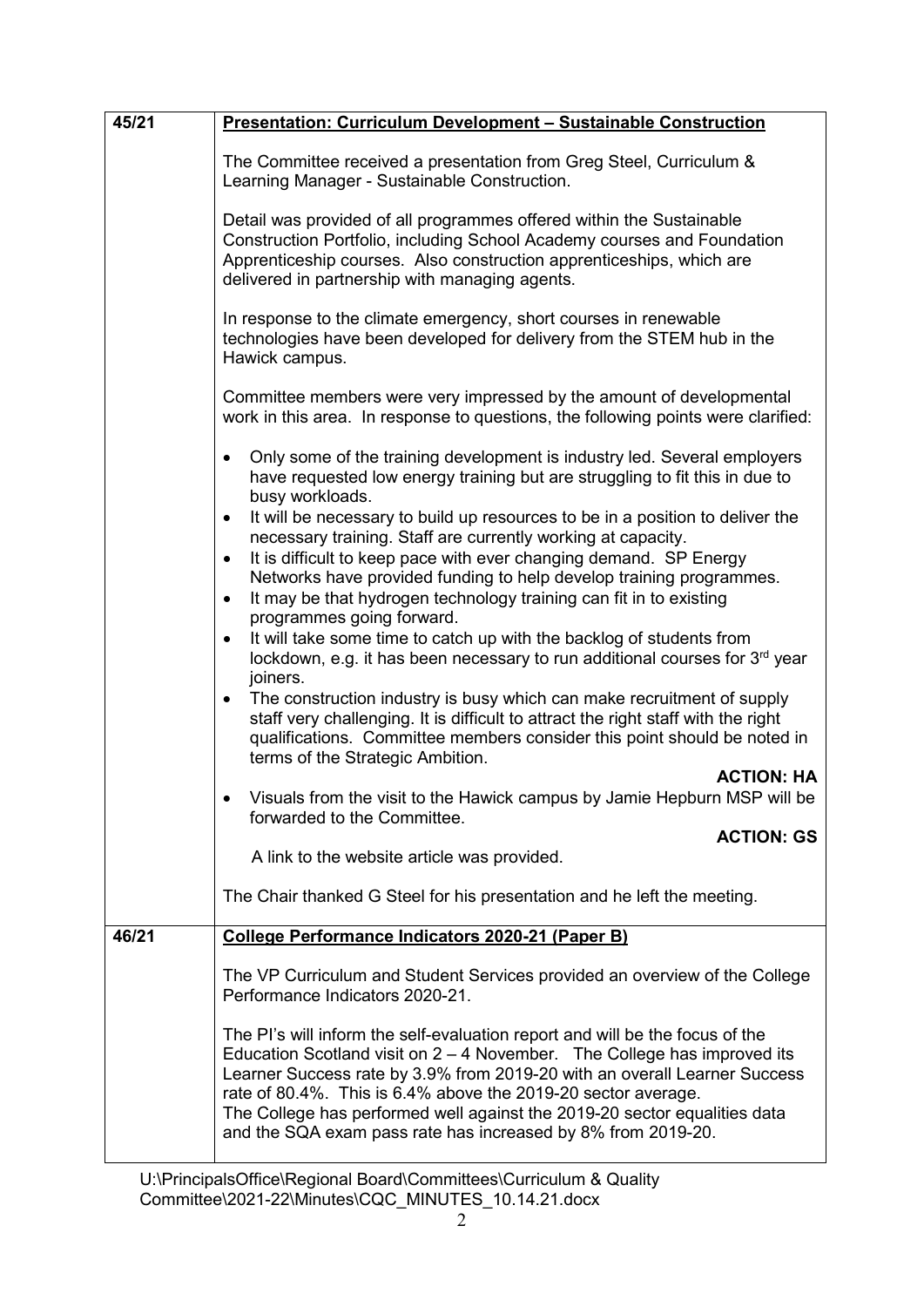| 45/21                                                                                                                                                                               | <b>Presentation: Curriculum Development - Sustainable Construction</b>                                                                                                                                                                                                                                                                                                                                                                                |  |  |  |  |
|-------------------------------------------------------------------------------------------------------------------------------------------------------------------------------------|-------------------------------------------------------------------------------------------------------------------------------------------------------------------------------------------------------------------------------------------------------------------------------------------------------------------------------------------------------------------------------------------------------------------------------------------------------|--|--|--|--|
|                                                                                                                                                                                     | The Committee received a presentation from Greg Steel, Curriculum &<br>Learning Manager - Sustainable Construction.                                                                                                                                                                                                                                                                                                                                   |  |  |  |  |
|                                                                                                                                                                                     | Detail was provided of all programmes offered within the Sustainable<br>Construction Portfolio, including School Academy courses and Foundation<br>Apprenticeship courses. Also construction apprenticeships, which are<br>delivered in partnership with managing agents.                                                                                                                                                                             |  |  |  |  |
|                                                                                                                                                                                     | In response to the climate emergency, short courses in renewable<br>technologies have been developed for delivery from the STEM hub in the<br>Hawick campus.                                                                                                                                                                                                                                                                                          |  |  |  |  |
|                                                                                                                                                                                     | Committee members were very impressed by the amount of developmental<br>work in this area. In response to questions, the following points were clarified:                                                                                                                                                                                                                                                                                             |  |  |  |  |
|                                                                                                                                                                                     | Only some of the training development is industry led. Several employers<br>$\bullet$<br>have requested low energy training but are struggling to fit this in due to<br>busy workloads.                                                                                                                                                                                                                                                               |  |  |  |  |
|                                                                                                                                                                                     | It will be necessary to build up resources to be in a position to deliver the<br>$\bullet$<br>necessary training. Staff are currently working at capacity.<br>It is difficult to keep pace with ever changing demand. SP Energy<br>$\bullet$                                                                                                                                                                                                          |  |  |  |  |
| Networks have provided funding to help develop training programmes.<br>It may be that hydrogen technology training can fit in to existing<br>$\bullet$<br>programmes going forward. |                                                                                                                                                                                                                                                                                                                                                                                                                                                       |  |  |  |  |
|                                                                                                                                                                                     | It will take some time to catch up with the backlog of students from<br>$\bullet$<br>lockdown, e.g. it has been necessary to run additional courses for 3 <sup>rd</sup> year<br>joiners.                                                                                                                                                                                                                                                              |  |  |  |  |
|                                                                                                                                                                                     | The construction industry is busy which can make recruitment of supply<br>$\bullet$<br>staff very challenging. It is difficult to attract the right staff with the right<br>qualifications. Committee members consider this point should be noted in<br>terms of the Strategic Ambition.                                                                                                                                                              |  |  |  |  |
|                                                                                                                                                                                     | <b>ACTION: HA</b><br>Visuals from the visit to the Hawick campus by Jamie Hepburn MSP will be<br>forwarded to the Committee.                                                                                                                                                                                                                                                                                                                          |  |  |  |  |
|                                                                                                                                                                                     | <b>ACTION: GS</b><br>A link to the website article was provided.                                                                                                                                                                                                                                                                                                                                                                                      |  |  |  |  |
|                                                                                                                                                                                     | The Chair thanked G Steel for his presentation and he left the meeting.                                                                                                                                                                                                                                                                                                                                                                               |  |  |  |  |
| 46/21                                                                                                                                                                               | College Performance Indicators 2020-21 (Paper B)                                                                                                                                                                                                                                                                                                                                                                                                      |  |  |  |  |
|                                                                                                                                                                                     | The VP Curriculum and Student Services provided an overview of the College<br>Performance Indicators 2020-21.                                                                                                                                                                                                                                                                                                                                         |  |  |  |  |
|                                                                                                                                                                                     | The PI's will inform the self-evaluation report and will be the focus of the<br>Education Scotland visit on $2 - 4$ November. The College has improved its<br>Learner Success rate by 3.9% from 2019-20 with an overall Learner Success<br>rate of 80.4%. This is 6.4% above the 2019-20 sector average.<br>The College has performed well against the 2019-20 sector equalities data<br>and the SQA exam pass rate has increased by 8% from 2019-20. |  |  |  |  |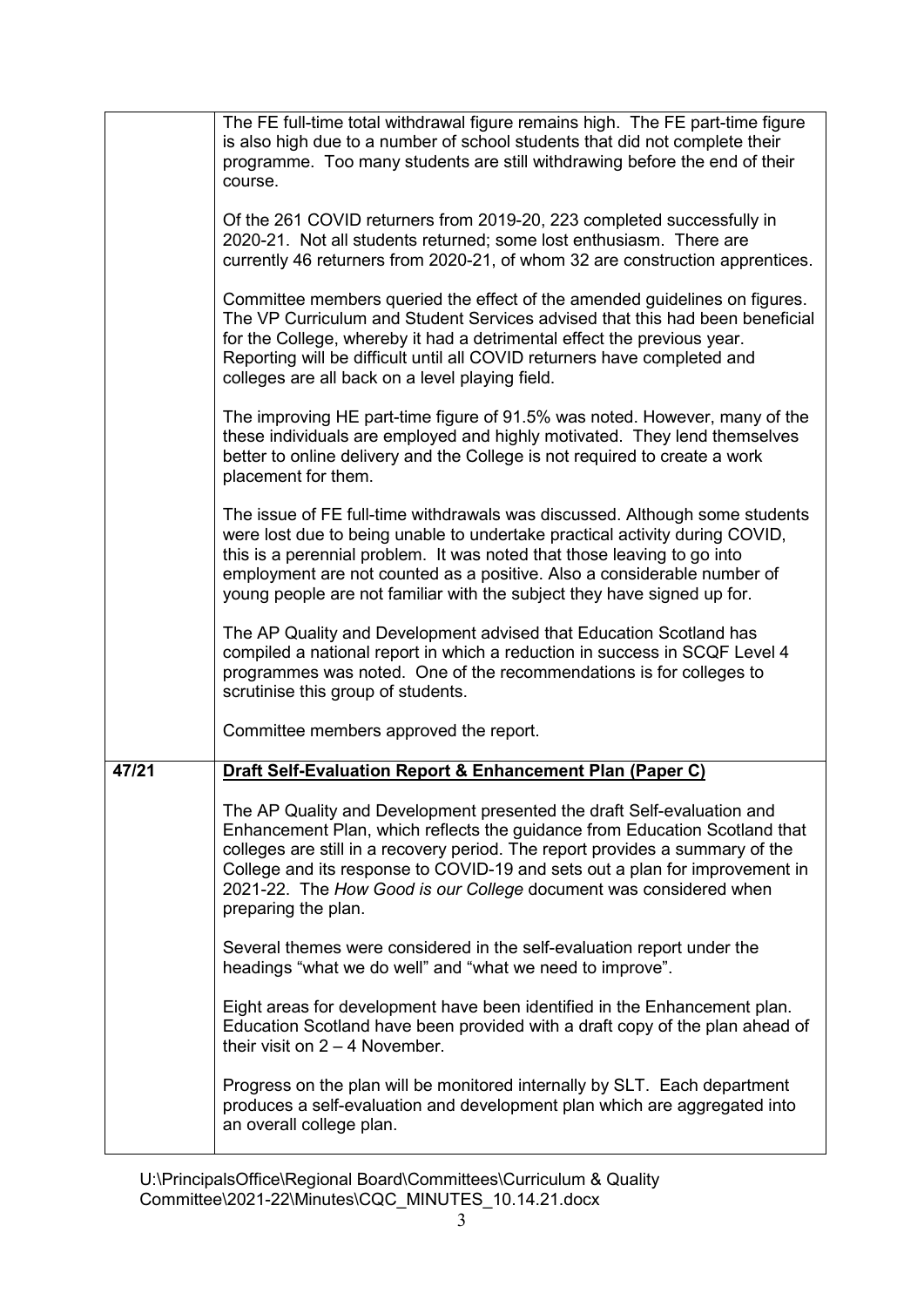|       | The FE full-time total withdrawal figure remains high. The FE part-time figure<br>is also high due to a number of school students that did not complete their<br>programme. Too many students are still withdrawing before the end of their<br>course.                                                                                                                                                           |  |
|-------|------------------------------------------------------------------------------------------------------------------------------------------------------------------------------------------------------------------------------------------------------------------------------------------------------------------------------------------------------------------------------------------------------------------|--|
|       | Of the 261 COVID returners from 2019-20, 223 completed successfully in<br>2020-21. Not all students returned; some lost enthusiasm. There are<br>currently 46 returners from 2020-21, of whom 32 are construction apprentices.                                                                                                                                                                                   |  |
|       | Committee members queried the effect of the amended guidelines on figures.<br>The VP Curriculum and Student Services advised that this had been beneficial<br>for the College, whereby it had a detrimental effect the previous year.<br>Reporting will be difficult until all COVID returners have completed and<br>colleges are all back on a level playing field.                                             |  |
|       | The improving HE part-time figure of 91.5% was noted. However, many of the<br>these individuals are employed and highly motivated. They lend themselves<br>better to online delivery and the College is not required to create a work<br>placement for them.                                                                                                                                                     |  |
|       | The issue of FE full-time withdrawals was discussed. Although some students<br>were lost due to being unable to undertake practical activity during COVID,<br>this is a perennial problem. It was noted that those leaving to go into<br>employment are not counted as a positive. Also a considerable number of<br>young people are not familiar with the subject they have signed up for.                      |  |
|       | The AP Quality and Development advised that Education Scotland has<br>compiled a national report in which a reduction in success in SCQF Level 4<br>programmes was noted. One of the recommendations is for colleges to<br>scrutinise this group of students.                                                                                                                                                    |  |
|       | Committee members approved the report.                                                                                                                                                                                                                                                                                                                                                                           |  |
| 47/21 | Draft Self-Evaluation Report & Enhancement Plan (Paper C)                                                                                                                                                                                                                                                                                                                                                        |  |
|       | The AP Quality and Development presented the draft Self-evaluation and<br>Enhancement Plan, which reflects the guidance from Education Scotland that<br>colleges are still in a recovery period. The report provides a summary of the<br>College and its response to COVID-19 and sets out a plan for improvement in<br>2021-22. The How Good is our College document was considered when<br>preparing the plan. |  |
|       | Several themes were considered in the self-evaluation report under the<br>headings "what we do well" and "what we need to improve".                                                                                                                                                                                                                                                                              |  |
|       | Eight areas for development have been identified in the Enhancement plan.<br>Education Scotland have been provided with a draft copy of the plan ahead of<br>their visit on $2 - 4$ November.                                                                                                                                                                                                                    |  |
|       | Progress on the plan will be monitored internally by SLT. Each department<br>produces a self-evaluation and development plan which are aggregated into<br>an overall college plan.                                                                                                                                                                                                                               |  |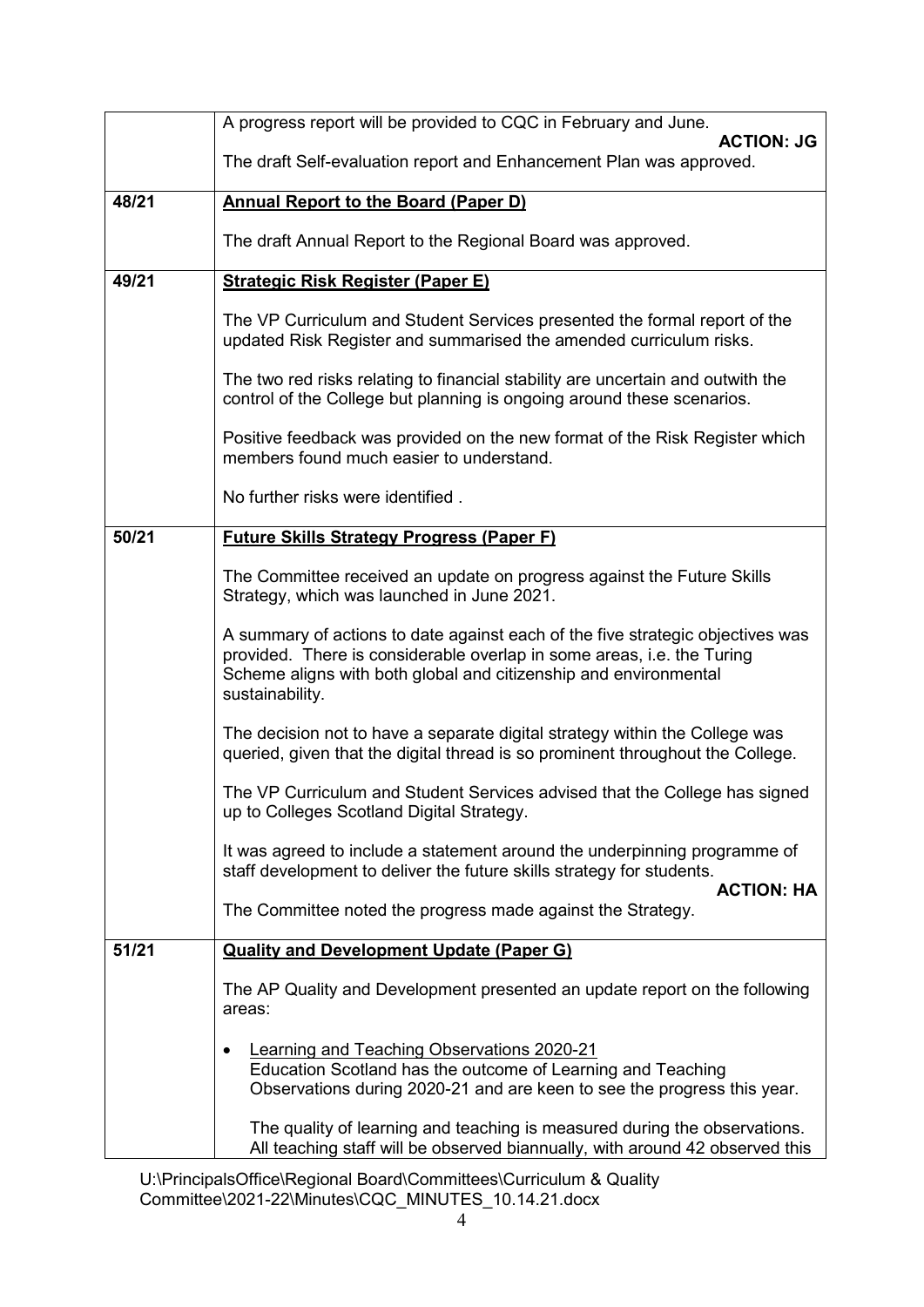|                                                                                                                      | A progress report will be provided to CQC in February and June.                                                                                                                                                                                 |  |  |  |
|----------------------------------------------------------------------------------------------------------------------|-------------------------------------------------------------------------------------------------------------------------------------------------------------------------------------------------------------------------------------------------|--|--|--|
|                                                                                                                      | <b>ACTION: JG</b><br>The draft Self-evaluation report and Enhancement Plan was approved.                                                                                                                                                        |  |  |  |
| 48/21                                                                                                                | <b>Annual Report to the Board (Paper D)</b>                                                                                                                                                                                                     |  |  |  |
|                                                                                                                      | The draft Annual Report to the Regional Board was approved.                                                                                                                                                                                     |  |  |  |
| 49/21                                                                                                                | <b>Strategic Risk Register (Paper E)</b>                                                                                                                                                                                                        |  |  |  |
|                                                                                                                      | The VP Curriculum and Student Services presented the formal report of the<br>updated Risk Register and summarised the amended curriculum risks.                                                                                                 |  |  |  |
|                                                                                                                      | The two red risks relating to financial stability are uncertain and outwith the<br>control of the College but planning is ongoing around these scenarios.                                                                                       |  |  |  |
|                                                                                                                      | Positive feedback was provided on the new format of the Risk Register which<br>members found much easier to understand.                                                                                                                         |  |  |  |
|                                                                                                                      | No further risks were identified.                                                                                                                                                                                                               |  |  |  |
| 50/21                                                                                                                | <b>Future Skills Strategy Progress (Paper F)</b>                                                                                                                                                                                                |  |  |  |
| The Committee received an update on progress against the Future Skills<br>Strategy, which was launched in June 2021. |                                                                                                                                                                                                                                                 |  |  |  |
|                                                                                                                      | A summary of actions to date against each of the five strategic objectives was<br>provided. There is considerable overlap in some areas, i.e. the Turing<br>Scheme aligns with both global and citizenship and environmental<br>sustainability. |  |  |  |
|                                                                                                                      | The decision not to have a separate digital strategy within the College was<br>queried, given that the digital thread is so prominent throughout the College.                                                                                   |  |  |  |
|                                                                                                                      | The VP Curriculum and Student Services advised that the College has signed<br>up to Colleges Scotland Digital Strategy.                                                                                                                         |  |  |  |
|                                                                                                                      | It was agreed to include a statement around the underpinning programme of<br>staff development to deliver the future skills strategy for students.<br><b>ACTION: HA</b>                                                                         |  |  |  |
|                                                                                                                      | The Committee noted the progress made against the Strategy.                                                                                                                                                                                     |  |  |  |
| 51/21                                                                                                                | <b>Quality and Development Update (Paper G)</b>                                                                                                                                                                                                 |  |  |  |
|                                                                                                                      | The AP Quality and Development presented an update report on the following<br>areas:                                                                                                                                                            |  |  |  |
|                                                                                                                      | <b>Learning and Teaching Observations 2020-21</b><br>Education Scotland has the outcome of Learning and Teaching<br>Observations during 2020-21 and are keen to see the progress this year.                                                     |  |  |  |
|                                                                                                                      | The quality of learning and teaching is measured during the observations.<br>All teaching staff will be observed biannually, with around 42 observed this                                                                                       |  |  |  |

U:\PrincipalsOffice\Regional Board\Committees\Curriculum & Quality Committee\2021-22\Minutes\CQC\_MINUTES\_10.14.21.docx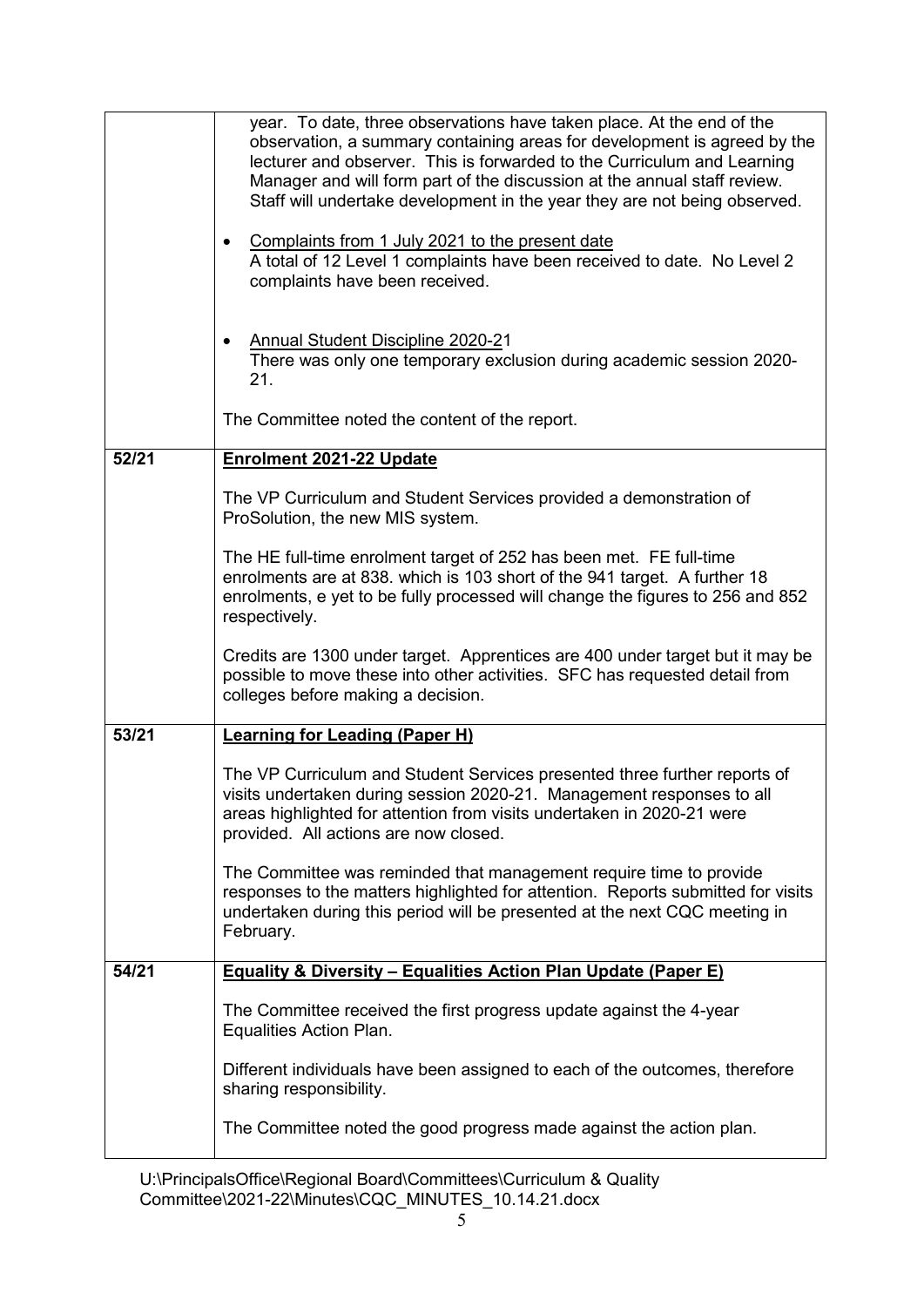|       | year. To date, three observations have taken place. At the end of the<br>observation, a summary containing areas for development is agreed by the<br>lecturer and observer. This is forwarded to the Curriculum and Learning<br>Manager and will form part of the discussion at the annual staff review.<br>Staff will undertake development in the year they are not being observed.<br>Complaints from 1 July 2021 to the present date<br>A total of 12 Level 1 complaints have been received to date. No Level 2<br>complaints have been received.<br><b>Annual Student Discipline 2020-21</b><br>There was only one temporary exclusion during academic session 2020- |  |  |  |
|-------|---------------------------------------------------------------------------------------------------------------------------------------------------------------------------------------------------------------------------------------------------------------------------------------------------------------------------------------------------------------------------------------------------------------------------------------------------------------------------------------------------------------------------------------------------------------------------------------------------------------------------------------------------------------------------|--|--|--|
|       | 21.<br>The Committee noted the content of the report.                                                                                                                                                                                                                                                                                                                                                                                                                                                                                                                                                                                                                     |  |  |  |
| 52/21 |                                                                                                                                                                                                                                                                                                                                                                                                                                                                                                                                                                                                                                                                           |  |  |  |
|       | Enrolment 2021-22 Update                                                                                                                                                                                                                                                                                                                                                                                                                                                                                                                                                                                                                                                  |  |  |  |
|       | The VP Curriculum and Student Services provided a demonstration of<br>ProSolution, the new MIS system.                                                                                                                                                                                                                                                                                                                                                                                                                                                                                                                                                                    |  |  |  |
|       | The HE full-time enrolment target of 252 has been met. FE full-time<br>enrolments are at 838. which is 103 short of the 941 target. A further 18<br>enrolments, e yet to be fully processed will change the figures to 256 and 852<br>respectively.                                                                                                                                                                                                                                                                                                                                                                                                                       |  |  |  |
|       | Credits are 1300 under target. Apprentices are 400 under target but it may be<br>possible to move these into other activities. SFC has requested detail from<br>colleges before making a decision.                                                                                                                                                                                                                                                                                                                                                                                                                                                                        |  |  |  |
| 53/21 | <b>Learning for Leading (Paper H)</b>                                                                                                                                                                                                                                                                                                                                                                                                                                                                                                                                                                                                                                     |  |  |  |
|       | The VP Curriculum and Student Services presented three further reports of<br>visits undertaken during session 2020-21. Management responses to all<br>areas highlighted for attention from visits undertaken in 2020-21 were<br>provided. All actions are now closed.                                                                                                                                                                                                                                                                                                                                                                                                     |  |  |  |
|       | The Committee was reminded that management require time to provide<br>responses to the matters highlighted for attention. Reports submitted for visits<br>undertaken during this period will be presented at the next CQC meeting in<br>February.                                                                                                                                                                                                                                                                                                                                                                                                                         |  |  |  |
| 54/21 | <b>Equality &amp; Diversity - Equalities Action Plan Update (Paper E)</b>                                                                                                                                                                                                                                                                                                                                                                                                                                                                                                                                                                                                 |  |  |  |
|       | The Committee received the first progress update against the 4-year<br>Equalities Action Plan.                                                                                                                                                                                                                                                                                                                                                                                                                                                                                                                                                                            |  |  |  |
|       | Different individuals have been assigned to each of the outcomes, therefore<br>sharing responsibility.                                                                                                                                                                                                                                                                                                                                                                                                                                                                                                                                                                    |  |  |  |
|       | The Committee noted the good progress made against the action plan.                                                                                                                                                                                                                                                                                                                                                                                                                                                                                                                                                                                                       |  |  |  |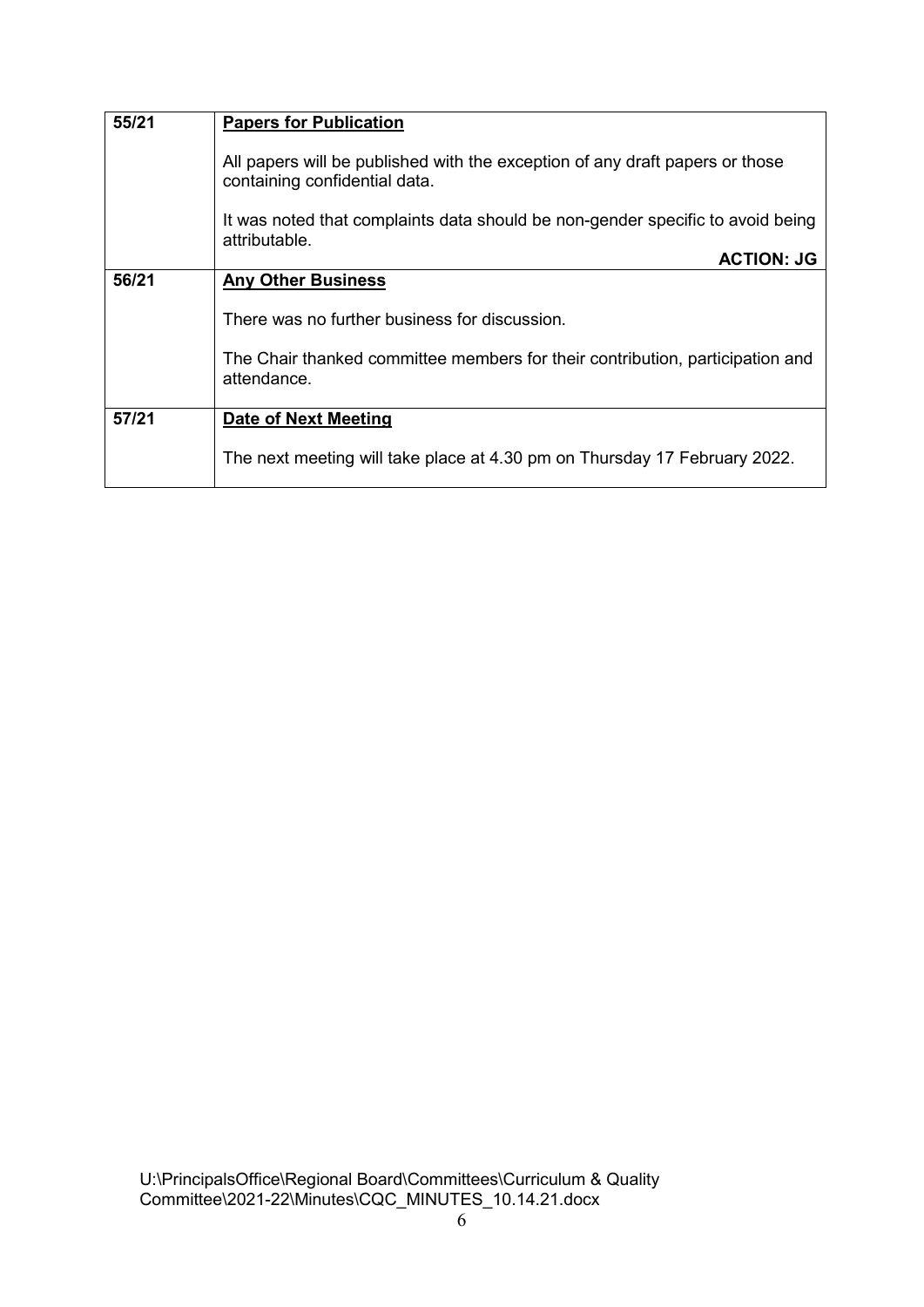| 55/21 | <b>Papers for Publication</b>                                                                                 |  |  |  |  |
|-------|---------------------------------------------------------------------------------------------------------------|--|--|--|--|
|       | All papers will be published with the exception of any draft papers or those<br>containing confidential data. |  |  |  |  |
|       | It was noted that complaints data should be non-gender specific to avoid being<br>attributable.               |  |  |  |  |
|       | <b>ACTION: JG</b>                                                                                             |  |  |  |  |
| 56/21 | <b>Any Other Business</b>                                                                                     |  |  |  |  |
|       | There was no further business for discussion.                                                                 |  |  |  |  |
|       | The Chair thanked committee members for their contribution, participation and<br>attendance.                  |  |  |  |  |
| 57/21 | Date of Next Meeting                                                                                          |  |  |  |  |
|       | The next meeting will take place at 4.30 pm on Thursday 17 February 2022.                                     |  |  |  |  |